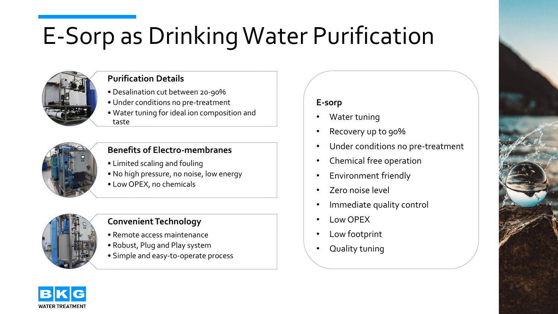# E-Sorp as DrinkingWater Purification



## **Purification Details**

- Desalination cut between 20-90%
- Under conditions no pre-treatment
- Water tuning for ideal ion composition and taste



#### **Benefits of Electro-membranes**

- Limited scaling and fouling
- No high pressure, no noise, low energy
- Low OPEX, no chemicals



#### **Convenient Technology**

- Remote access maintenance
- Robust, Plug and Play system
- Simple and easy-to-operate process

## **E-sorp**

- Water tuning
- Recovery up to 90%
- Under conditions no pre-treatment
- Chemical free operation
- Environment friendly
- Zero noise level
- Immediate quality control
- Low OPEX
- Low footprint
- Quality tuning